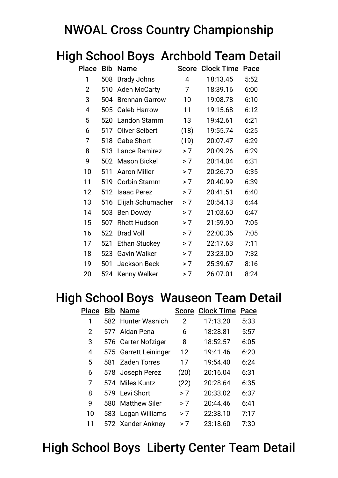### NWOAL Cross Country Championship

|                |            | ii School Doys' Alchbold Team De |      |                         |             |
|----------------|------------|----------------------------------|------|-------------------------|-------------|
| <b>Place</b>   | <b>Bib</b> | <b>Name</b>                      |      | <b>Score Clock Time</b> | <b>Pace</b> |
| 1              | 508        | <b>Brady Johns</b>               | 4    | 18:13.45                | 5:52        |
| $\overline{2}$ | 510        | <b>Aden McCarty</b>              | 7    | 18:39.16                | 6:00        |
| 3              | 504        | <b>Brennan Garrow</b>            | 10   | 19:08.78                | 6:10        |
| 4              | 505        | <b>Caleb Harrow</b>              | 11   | 19:15.68                | 6:12        |
| 5              | 520        | Landon Stamm                     | 13   | 19:42.61                | 6:21        |
| 6              | 517        | <b>Oliver Seibert</b>            | (18) | 19:55.74                | 6:25        |
| 7              | 518        | <b>Gabe Short</b>                | (19) | 20:07.47                | 6:29        |
| 8              | 513        | Lance Ramirez                    | > 7  | 20:09.26                | 6:29        |
| 9              | 502        | <b>Mason Bickel</b>              | > 7  | 20:14.04                | 6:31        |
| 10             | 511        | <b>Aaron Miller</b>              | > 7  | 20:26.70                | 6:35        |
| 11             | 519        | <b>Corbin Stamm</b>              | > 7  | 20:40.99                | 6:39        |
| 12             | 512        | <b>Isaac Perez</b>               | > 7  | 20:41.51                | 6:40        |
| 13             | 516        | Elijah Schumacher                | > 7  | 20:54.13                | 6:44        |
| 14             | 503        | Ben Dowdy                        | > 7  | 21:03.60                | 6:47        |
| 15             | 507        | <b>Rhett Hudson</b>              | > 7  | 21:59.90                | 7:05        |
| 16             | 522        | <b>Brad Voll</b>                 | > 7  | 22:00.35                | 7:05        |
| 17             | 521        | <b>Ethan Stuckey</b>             | > 7  | 22:17.63                | 7:11        |
| 18             | 523        | <b>Gavin Walker</b>              | > 7  | 23:23.00                | 7:32        |
| 19             | 501        | Jackson Beck                     | > 7  | 25:39.67                | 8:16        |
| 20             | 524        | Kenny Walker                     | > 7  | 26:07.01                | 8:24        |

# High School Boys Archbold Team Detail

#### High School Boys Wauseon Team Detail

| Place | <b>Bib</b> | <b>Name</b>           | <b>Score</b>      | <b>Clock Time</b> | Pace |
|-------|------------|-----------------------|-------------------|-------------------|------|
| 1     |            | 582 Hunter Wasnich    | 2                 | 17:13.20          | 5:33 |
| 2     |            | 577 Aidan Pena        | 6                 | 18:28.81          | 5:57 |
| 3     |            | 576 Carter Nofziger   | 8                 | 18:52.57          | 6:05 |
| 4     |            | 575 Garrett Leininger | $12 \overline{ }$ | 19:41.46          | 6:20 |
| 5     | 581        | <b>Zaden Torres</b>   | 17                | 19:54.40          | 6:24 |
| 6     |            | 578 Joseph Perez      | (20)              | 20:16.04          | 6:31 |
| 7     | 574        | Miles Kuntz           | (22)              | 20:28.64          | 6:35 |
| 8     | 579        | Levi Short            | > 7               | 20:33.02          | 6:37 |
| 9     | 580        | <b>Matthew Siler</b>  | > 7               | 20:44.46          | 6:41 |
| 10    | 583        | Logan Williams        | > 7               | 22:38.10          | 7:17 |
| 11    |            | 572 Xander Ankney     | > 7               | 23:18.60          | 7:30 |

# High School Boys Liberty Center Team Detail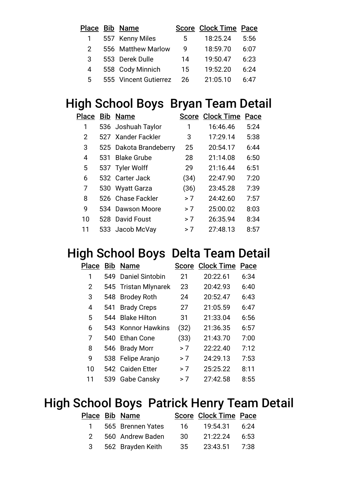|              | Place Bib Name        |    | <b>Score Clock Time Pace</b> |      |
|--------------|-----------------------|----|------------------------------|------|
| $\mathbf{1}$ | 557 Kenny Miles       | 5  | 18:25.24                     | 5:56 |
| 2            | 556 Matthew Marlow    | 9  | 18:59.70                     | 6:07 |
| 3            | 553 Derek Dulle       | 14 | 19:50.47                     | 6:23 |
| 4            | 558 Cody Minnich      | 15 | 19:52.20                     | 6:24 |
| 5.           | 555 Vincent Gutierrez | 26 | 21:05.10                     | 6:47 |

#### High School Boys Bryan Team Detail

|    |     | Place Bib Name         |      | <b>Score Clock Time Pace</b> |      |
|----|-----|------------------------|------|------------------------------|------|
| 1  |     | 536 Joshuah Taylor     | 1    | 16:46.46                     | 5:24 |
| 2  |     | 527 Xander Fackler     | 3    | 17:29.14                     | 5:38 |
| 3  |     | 525 Dakota Brandeberry | 25   | 20:54.17                     | 6:44 |
| 4  | 531 | <b>Blake Grube</b>     | 28   | 21:14.08                     | 6:50 |
| 5  |     | 537 Tyler Wolff        | 29   | 21:16.44                     | 6:51 |
| 6  |     | 532 Carter Jack        | (34) | 22:47.90                     | 7:20 |
| 7  |     | 530 Wyatt Garza        | (36) | 23:45.28                     | 7:39 |
| 8  |     | 526 Chase Fackler      | > 7  | 24:42.60                     | 7:57 |
| q  |     | 534 Dawson Moore       | > 7  | 25:00.02                     | 8:03 |
| 10 |     | 528 David Foust        | > 7  | 26:35.94                     | 8:34 |
| 11 |     | 533 Jacob McVay        | > 7  | 27:48.13                     | 8:57 |
|    |     |                        |      |                              |      |

#### High School Boys Delta Team Detail

| Place | Bib | <b>Name</b>            | Score | <b>Clock Time</b> | Pace |
|-------|-----|------------------------|-------|-------------------|------|
| 1     | 549 | <b>Daniel Sintobin</b> | 21    | 20:22.61          | 6:34 |
| 2     |     | 545 Tristan Mlynarek   | 23    | 20:42.93          | 6:40 |
| 3     | 548 | <b>Brodey Roth</b>     | 24    | 20:52.47          | 6:43 |
| 4     | 541 | <b>Brady Creps</b>     | 27    | 21:05.59          | 6:47 |
| 5     | 544 | <b>Blake Hilton</b>    | 31    | 21:33.04          | 6:56 |
| 6     | 543 | <b>Konnor Hawkins</b>  | (32)  | 21:36.35          | 6:57 |
| 7     | 540 | <b>Ethan Cone</b>      | (33)  | 21:43.70          | 7:00 |
| 8     | 546 | <b>Brady Morr</b>      | > 7   | 22:22.40          | 7:12 |
| 9     | 538 | Felipe Aranjo          | > 7   | 24:29.13          | 7:53 |
| 10    |     | 542 Caiden Etter       | > 7   | 25:25.22          | 8:11 |
| 11    | 539 | <b>Gabe Cansky</b>     | > 7   | 27:42.58          | 8:55 |
|       |     |                        |       |                   |      |

#### High School Boys Patrick Henry Team Detail

|  | Place Bib Name                       | <b>Score Clock Time Pace</b> |  |
|--|--------------------------------------|------------------------------|--|
|  | 1 565 Brennen Yates                  | 16 19:54.31 6:24             |  |
|  | 2 560 Andrew Baden 30                | 21:22.24 6:53                |  |
|  | 3 562 Brayden Keith 35 23:43.51 7:38 |                              |  |